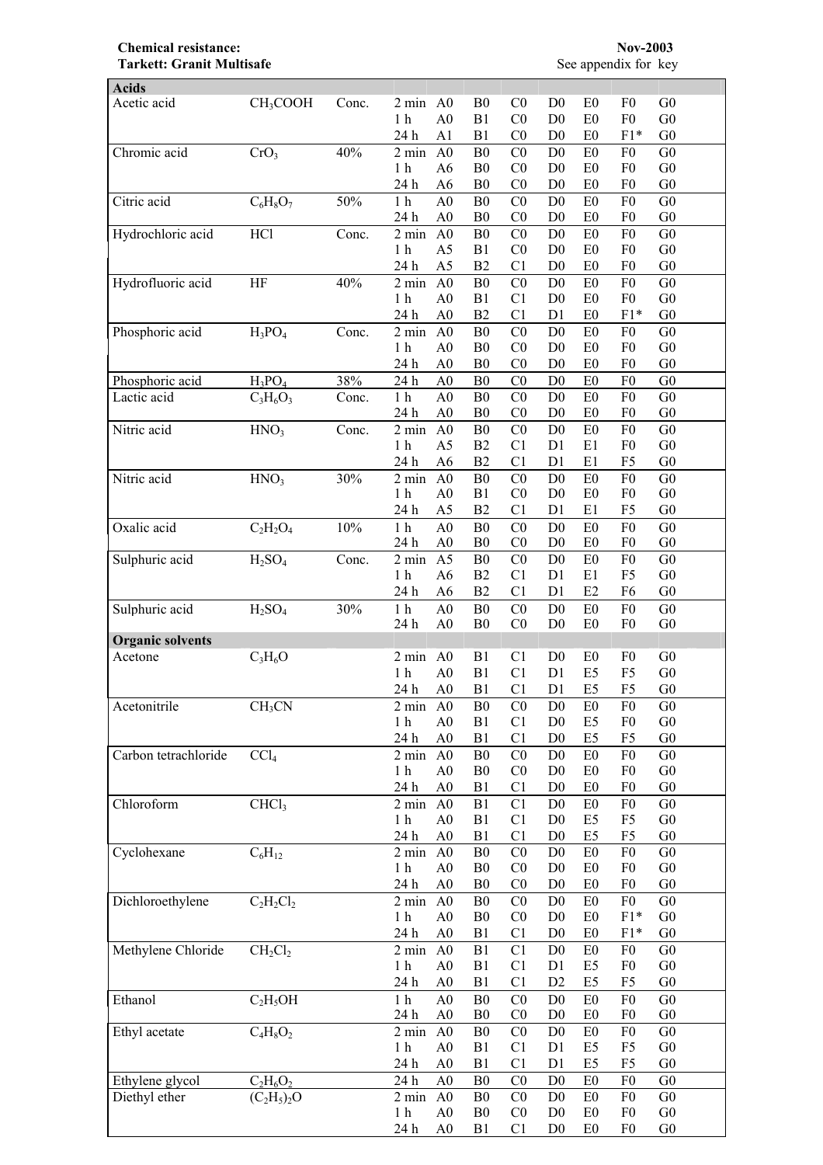## **Chemical resistance:** Nov-2003<br> **Tarkett: Granit Multisafe** See appendix for key **Tarkett: Granit Multisafe**

| <b>Acids</b>            |                                |       |                    |                |                |                |                |                |                |                |
|-------------------------|--------------------------------|-------|--------------------|----------------|----------------|----------------|----------------|----------------|----------------|----------------|
| Acetic acid             | CH <sub>3</sub> COOH           | Conc. | $2 \text{ min}$    | A <sub>0</sub> | B <sub>0</sub> | CO             | D <sub>0</sub> | E <sub>0</sub> | F <sub>0</sub> | G <sub>0</sub> |
|                         |                                |       | 1 <sub>h</sub>     | A <sub>0</sub> | B <sub>1</sub> | CO             | D <sub>0</sub> | E0             | F <sub>0</sub> | ${\rm G0}$     |
|                         |                                |       | 24 h               | A <sub>1</sub> | B1             | CO             | D <sub>0</sub> | E <sub>0</sub> | $F1*$          | G <sub>0</sub> |
| Chromic acid            | CrO <sub>3</sub>               | 40%   | $2 \text{ min}$    | A <sub>0</sub> | B <sub>0</sub> | CO             | D <sub>0</sub> | E <sub>0</sub> | F <sub>0</sub> | G <sub>0</sub> |
|                         |                                |       | 1 <sub>h</sub>     | A6             | B <sub>0</sub> | CO             | D <sub>0</sub> | E0             | F <sub>0</sub> | G <sub>0</sub> |
|                         |                                |       | 24 h               | A <sub>6</sub> | B <sub>0</sub> | CO             | D <sub>0</sub> | E <sub>0</sub> | F <sub>0</sub> | G <sub>0</sub> |
| Citric acid             | $C_6H_8O_7$                    | 50%   | $1\ \mathrm{h}$    | A <sub>0</sub> | B <sub>0</sub> | C <sub>0</sub> | D <sub>0</sub> | E <sub>0</sub> | F <sub>0</sub> | G <sub>0</sub> |
|                         |                                |       | 24 h               | A <sub>0</sub> | B <sub>0</sub> | C <sub>0</sub> | D <sub>0</sub> | E <sub>0</sub> | F <sub>0</sub> | G <sub>0</sub> |
| Hydrochloric acid       | HCl                            | Conc. | $2 \text{ min}$    | A <sub>0</sub> | B <sub>0</sub> | CO             | D <sub>0</sub> | E <sub>0</sub> | F <sub>0</sub> | ${\rm G0}$     |
|                         |                                |       | 1 <sub>h</sub>     | A5             | B1             | C <sub>0</sub> | D <sub>0</sub> | E <sub>0</sub> | F <sub>0</sub> | ${\rm G0}$     |
|                         |                                |       | 24 h               | A <sub>5</sub> | B2             | C <sub>1</sub> | D <sub>0</sub> | E <sub>0</sub> | F <sub>0</sub> | ${\rm G0}$     |
| Hydrofluoric acid       | HF                             | 40%   | $2 \text{ min}$    | A <sub>0</sub> | B <sub>0</sub> | CO             | D <sub>0</sub> | E0             | F <sub>0</sub> | ${\rm G0}$     |
|                         |                                |       | 1 <sub>h</sub>     | A <sub>0</sub> | B <sub>1</sub> | C1             | D <sub>0</sub> | E0             | F <sub>0</sub> | ${\rm G0}$     |
|                         |                                |       | 24 h               | A <sub>0</sub> | B2             | C <sub>1</sub> | D <sub>1</sub> | E <sub>0</sub> | $F1*$          | G <sub>0</sub> |
| Phosphoric acid         | $H_3PO_4$                      | Conc. | $2 \text{ min}$    | A <sub>0</sub> | B <sub>0</sub> | C <sub>0</sub> | D <sub>0</sub> | E0             | F <sub>0</sub> | ${\rm G0}$     |
|                         |                                |       | 1 <sub>h</sub>     | A <sub>0</sub> | B <sub>0</sub> | C <sub>0</sub> | D <sub>0</sub> | E0             | F <sub>0</sub> | ${\rm G0}$     |
|                         |                                |       | 24 h               | A <sub>0</sub> | B <sub>0</sub> | C <sub>0</sub> | D <sub>0</sub> | E0             | F <sub>0</sub> | G <sub>0</sub> |
| Phosphoric acid         | $H_3PO_4$                      | 38%   | 24 h               | A <sub>0</sub> | B <sub>0</sub> | C <sub>0</sub> | D <sub>0</sub> | ${\rm E}0$     | F <sub>0</sub> | G <sub>0</sub> |
| Lactic acid             | $C_3H_6O_3$                    | Conc. | 1 <sub>h</sub>     | A <sub>0</sub> | B <sub>0</sub> | C <sub>0</sub> | D <sub>0</sub> | ${\rm E0}$     | F <sub>0</sub> | ${\rm G0}$     |
|                         |                                |       | 24 h               | A <sub>0</sub> | B <sub>0</sub> | C <sub>0</sub> | D <sub>0</sub> | E <sub>0</sub> | F <sub>0</sub> | G <sub>0</sub> |
| Nitric acid             | HNO <sub>3</sub>               | Conc. | $2 \text{ min}$    | A <sub>0</sub> | B <sub>0</sub> | C <sub>0</sub> | D <sub>0</sub> | E0             | F <sub>0</sub> | ${\rm G0}$     |
|                         |                                |       | 1 <sub>h</sub>     | A5             | B2             | C1             | D1             | E1             | F <sub>0</sub> | G <sub>0</sub> |
|                         |                                |       | 24 h               | A <sub>6</sub> | B2             | C <sub>1</sub> | D1             | E1             | F <sub>5</sub> | G <sub>0</sub> |
| Nitric acid             | HNO <sub>3</sub>               | 30%   | 2 min              | A <sub>0</sub> | B <sub>0</sub> | C <sub>0</sub> | D <sub>0</sub> | E <sub>0</sub> | F <sub>0</sub> | G <sub>0</sub> |
|                         |                                |       | 1 <sub>h</sub>     | A <sub>0</sub> | B1             | CO             | D <sub>0</sub> | E <sub>0</sub> | F <sub>0</sub> | ${\rm G0}$     |
|                         |                                |       | 24 h               | A <sub>5</sub> | B2             | C <sub>1</sub> | D <sub>1</sub> | E1             | F <sub>5</sub> | G <sub>0</sub> |
| Oxalic acid             | $C_2H_2O_4$                    | 10%   | 1 <sub>h</sub>     | A <sub>0</sub> | B <sub>0</sub> | C <sub>0</sub> | D <sub>0</sub> | E <sub>0</sub> | F <sub>0</sub> | ${\rm G0}$     |
|                         |                                |       | 24 h               | A <sub>0</sub> | B <sub>0</sub> | CO             | D <sub>0</sub> | E <sub>0</sub> | F <sub>0</sub> | G <sub>0</sub> |
| Sulphuric acid          | H <sub>2</sub> SO <sub>4</sub> | Conc. | 2 min              | A <sub>5</sub> | B <sub>0</sub> | CO             | D <sub>0</sub> | E <sub>0</sub> | F <sub>0</sub> | G <sub>0</sub> |
|                         |                                |       | 1 <sub>h</sub>     | A6             | B2             | C1             | D1             | E1             | F <sub>5</sub> | ${\rm G0}$     |
|                         |                                |       | 24 h               | A6             | B2             | C <sub>1</sub> | D1             | E2             | F6             | G <sub>0</sub> |
| Sulphuric acid          | H <sub>2</sub> SO <sub>4</sub> | 30%   | 1 <sub>h</sub>     | A <sub>0</sub> | B <sub>0</sub> | C <sub>0</sub> | D <sub>0</sub> | E <sub>0</sub> | F <sub>0</sub> | G <sub>0</sub> |
|                         |                                |       | 24 h               | A <sub>0</sub> | B <sub>0</sub> | CO             | D <sub>0</sub> | E <sub>0</sub> | F <sub>0</sub> | G <sub>0</sub> |
| <b>Organic solvents</b> |                                |       |                    |                |                |                |                |                |                |                |
| Acetone                 | $C_3H_6O$                      |       | $2 \text{ min}$    | A <sub>0</sub> | B <sub>1</sub> | C <sub>1</sub> | D <sub>0</sub> | E <sub>0</sub> | F <sub>0</sub> | G <sub>0</sub> |
|                         |                                |       | 1 <sub>h</sub>     | A <sub>0</sub> | B <sub>1</sub> | C1             | D <sub>1</sub> | E <sub>5</sub> | F <sub>5</sub> | G <sub>0</sub> |
|                         |                                |       | 24 h               | A <sub>0</sub> | B <sub>1</sub> | C <sub>1</sub> | D <sub>1</sub> | E <sub>5</sub> | F5             | G <sub>0</sub> |
| Acetonitrile            | CH <sub>3</sub> CN             |       | $2 \text{ min}$ A0 |                | <sub>B0</sub>  | $_{\rm C0}$    | D <sub>0</sub> | E <sub>0</sub> | F <sub>0</sub> | G <sub>0</sub> |
|                         |                                |       | 1 <sub>h</sub>     | A <sub>0</sub> | B <sub>1</sub> | C1             | D <sub>0</sub> | E <sub>5</sub> | F <sub>0</sub> | G <sub>0</sub> |
|                         |                                |       | 24 h               | A <sub>0</sub> | B1             | C1             | D <sub>0</sub> | E <sub>5</sub> | F <sub>5</sub> | ${\rm G0}$     |
| Carbon tetrachloride    | CCl <sub>4</sub>               |       | $2 \text{ min}$    | A <sub>0</sub> | B <sub>0</sub> | CO             | D <sub>0</sub> | E <sub>0</sub> | F <sub>0</sub> | ${\rm G0}$     |
|                         |                                |       | 1 <sub>h</sub>     | A <sub>0</sub> | B <sub>0</sub> | C <sub>0</sub> | D <sub>0</sub> | E0             | F <sub>0</sub> | ${\rm G0}$     |
|                         |                                |       | 24 h               | A <sub>0</sub> | B1             | C1             | D <sub>0</sub> | E <sub>0</sub> | F <sub>0</sub> | ${\rm G0}$     |
| Chloroform              | CHCl <sub>3</sub>              |       | $2 \text{ min}$    | A <sub>0</sub> | B1             | C <sub>1</sub> | D <sub>0</sub> | E <sub>0</sub> | F <sub>0</sub> | G <sub>0</sub> |
|                         |                                |       | 1 <sub>h</sub>     | A <sub>0</sub> | B1             | C1             | D <sub>0</sub> | E <sub>5</sub> | F <sub>5</sub> | ${\rm G0}$     |
|                         |                                |       | 24 h               | A <sub>0</sub> | B1             | C1             | D <sub>0</sub> | E <sub>5</sub> | F <sub>5</sub> | G <sub>0</sub> |
| Cyclohexane             | $C_6H_{12}$                    |       | $2 \text{ min}$    | A <sub>0</sub> | B <sub>0</sub> | CO             | D <sub>0</sub> | E <sub>0</sub> | F <sub>0</sub> | G <sub>0</sub> |
|                         |                                |       | 1 <sub>h</sub>     | A <sub>0</sub> | B <sub>0</sub> | C <sub>0</sub> | D <sub>0</sub> | E0             | F <sub>0</sub> | G <sub>0</sub> |
|                         |                                |       | 24 h               | A <sub>0</sub> | B <sub>0</sub> | C <sub>0</sub> | D <sub>0</sub> | E <sub>0</sub> | F <sub>0</sub> | ${\rm G0}$     |
| Dichloroethylene        | $C_2H_2Cl_2$                   |       | $2 \text{ min}$    | A <sub>0</sub> | B <sub>0</sub> | CO             | D <sub>0</sub> | E <sub>0</sub> | ${\rm F0}$     | ${\rm G0}$     |
|                         |                                |       | 1 <sub>h</sub>     | A <sub>0</sub> | B <sub>0</sub> | C <sub>0</sub> | D <sub>0</sub> | E0             | $F1*$          | ${\rm G0}$     |
|                         |                                |       | 24 h               | ${\bf A0}$     | B1             | C <sub>1</sub> | D <sub>0</sub> | E <sub>0</sub> | $F1*$          | G <sub>0</sub> |
| Methylene Chloride      | $CH_2Cl_2$                     |       | $2 \text{ min}$    | A <sub>0</sub> | B1             | C1             | D <sub>0</sub> | E <sub>0</sub> | F <sub>0</sub> | G <sub>0</sub> |
|                         |                                |       | 1 <sub>h</sub>     | A <sub>0</sub> | B1             | C1             | D1             | E <sub>5</sub> | F <sub>0</sub> | ${\rm G0}$     |
|                         |                                |       | 24 h               | A <sub>0</sub> | B1             | C <sub>1</sub> | D <sub>2</sub> | E <sub>5</sub> | F <sub>5</sub> | ${\rm G0}$     |
| Ethanol                 | $C_2H_5OH$                     |       | $1\ \mathrm{h}$    | A <sub>0</sub> | B <sub>0</sub> | CO             | D <sub>0</sub> | E0             | F <sub>0</sub> | G <sub>0</sub> |
|                         |                                |       | 24 h               | A <sub>0</sub> | B <sub>0</sub> | CO             | D <sub>0</sub> | E <sub>0</sub> | F <sub>0</sub> | G <sub>0</sub> |
| Ethyl acetate           | $C_4H_8O_2$                    |       | $2 \text{ min}$    | A <sub>0</sub> | B <sub>0</sub> | C <sub>0</sub> | D <sub>0</sub> | ${\rm E}0$     | F <sub>0</sub> | ${\rm G0}$     |
|                         |                                |       | 1 <sub>h</sub>     | A <sub>0</sub> | B1             | C1             | D1             | E <sub>5</sub> | F <sub>5</sub> | ${\rm G0}$     |
|                         |                                |       | 24 h               | A <sub>0</sub> | B1             | C1             | D1             | E <sub>5</sub> | F <sub>5</sub> | G <sub>0</sub> |
| Ethylene glycol         | $C_2H_6O_2$                    |       | 24 h               | A <sub>0</sub> | B <sub>0</sub> | C <sub>0</sub> | D <sub>0</sub> | E <sub>0</sub> | F <sub>0</sub> | ${\rm G0}$     |
| Diethyl ether           | $(C_2H_5)_2O$                  |       | $2 \text{ min}$    | A <sub>0</sub> | B <sub>0</sub> | CO             | D <sub>0</sub> | E <sub>0</sub> | F <sub>0</sub> | G <sub>0</sub> |
|                         |                                |       | 1 <sub>h</sub>     | A <sub>0</sub> | B <sub>0</sub> | C <sub>0</sub> | D <sub>0</sub> | E0             | F <sub>0</sub> | ${\rm G0}$     |
|                         |                                |       | 24 h               | A <sub>0</sub> | B1             | C <sub>1</sub> | D <sub>0</sub> | E0             | F <sub>0</sub> | ${\rm G0}$     |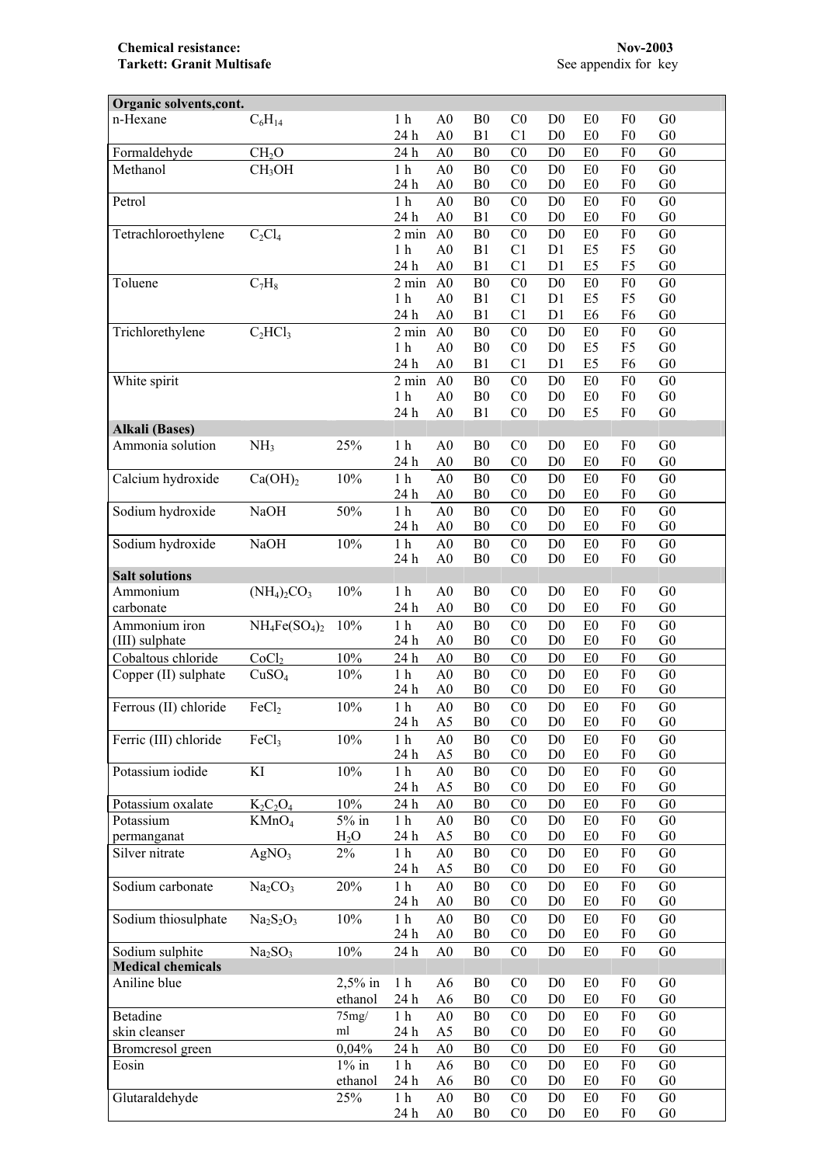| Organic solvents, cont.  |                                 |           |                 |                |                |                |                                  |                                  |                                  |                |  |
|--------------------------|---------------------------------|-----------|-----------------|----------------|----------------|----------------|----------------------------------|----------------------------------|----------------------------------|----------------|--|
| n-Hexane                 | $C_6H_{14}$                     |           | 1 <sub>h</sub>  | A <sub>0</sub> | B <sub>0</sub> | CO             | D <sub>0</sub>                   | E <sub>0</sub>                   | F <sub>0</sub>                   | G <sub>0</sub> |  |
|                          |                                 |           | 24 h            | A <sub>0</sub> | B1             | C <sub>1</sub> | D <sub>0</sub>                   | E <sub>0</sub>                   | F <sub>0</sub>                   | G <sub>0</sub> |  |
| Formaldehyde             | CH <sub>2</sub> O               |           | 24 h            | A <sub>0</sub> | B <sub>0</sub> | C <sub>0</sub> | D <sub>0</sub>                   | E <sub>0</sub>                   | F <sub>0</sub>                   | G <sub>0</sub> |  |
| Methanol                 | CH <sub>3</sub> OH              |           | 1 <sub>h</sub>  | A <sub>0</sub> | B <sub>0</sub> | C <sub>0</sub> | D <sub>0</sub>                   | E <sub>0</sub>                   | F <sub>0</sub>                   | G <sub>0</sub> |  |
|                          |                                 |           | 24 h            | A <sub>0</sub> | B <sub>0</sub> | C <sub>0</sub> | D <sub>0</sub>                   | E <sub>0</sub>                   | F <sub>0</sub>                   | G <sub>0</sub> |  |
| Petrol                   |                                 |           | 1 <sub>h</sub>  | A <sub>0</sub> | B <sub>0</sub> | C <sub>0</sub> | D <sub>0</sub>                   | E0                               | F <sub>0</sub>                   | G <sub>0</sub> |  |
|                          |                                 |           | 24 h            | A <sub>0</sub> | B1             | C <sub>0</sub> | D <sub>0</sub>                   | E <sub>0</sub>                   | F <sub>0</sub>                   | G <sub>0</sub> |  |
| Tetrachloroethylene      | $C_2Cl_4$                       |           | $2 \text{ min}$ | A <sub>0</sub> | B <sub>0</sub> | C <sub>0</sub> | D <sub>0</sub>                   | E0                               | F <sub>0</sub>                   | G <sub>0</sub> |  |
|                          |                                 |           | 1 <sub>h</sub>  | A <sub>0</sub> | B1             | C1             | D1                               | E <sub>5</sub>                   | F <sub>5</sub>                   | G <sub>0</sub> |  |
|                          |                                 |           | 24 h            | A <sub>0</sub> | B1             | C <sub>1</sub> | D1                               | E <sub>5</sub>                   | F <sub>5</sub>                   | G <sub>0</sub> |  |
| Toluene                  | $C_7H_8$                        |           | $2 \text{ min}$ | A <sub>0</sub> | B <sub>0</sub> | CO             | D <sub>0</sub>                   | E <sub>0</sub>                   | F <sub>0</sub>                   | G <sub>0</sub> |  |
|                          |                                 |           | 1 <sub>h</sub>  | A <sub>0</sub> | B1             | C <sub>1</sub> | D1                               | E <sub>5</sub>                   | F <sub>5</sub>                   | G <sub>0</sub> |  |
|                          |                                 |           | 24 h            | A <sub>0</sub> | B1             | C1             | D1                               | E <sub>6</sub>                   | F <sub>6</sub>                   | G <sub>0</sub> |  |
| Trichlorethylene         | $C_2HCl_3$                      |           | $2 \text{ min}$ | A <sub>0</sub> | B <sub>0</sub> | CO             | D <sub>0</sub>                   | E <sub>0</sub>                   | F <sub>0</sub>                   | G <sub>0</sub> |  |
|                          |                                 |           | 1 <sub>h</sub>  | A <sub>0</sub> | B <sub>0</sub> | CO             | D <sub>0</sub>                   | E <sub>5</sub>                   | F <sub>5</sub>                   | G <sub>0</sub> |  |
|                          |                                 |           | 24 h            | A <sub>0</sub> | B1             | C <sub>1</sub> | D1                               | E <sub>5</sub>                   | F <sub>6</sub>                   | G <sub>0</sub> |  |
| White spirit             |                                 |           | $2 \text{ min}$ | A <sub>0</sub> | B <sub>0</sub> | C <sub>0</sub> | D <sub>0</sub>                   | E <sub>0</sub>                   | F <sub>0</sub>                   | G <sub>0</sub> |  |
|                          |                                 |           | 1 <sub>h</sub>  | A <sub>0</sub> | ${\bf B0}$     | C <sub>0</sub> | D <sub>0</sub>                   | E <sub>0</sub>                   | F <sub>0</sub>                   | G <sub>0</sub> |  |
|                          |                                 |           | 24 h            | A <sub>0</sub> | B1             | C <sub>0</sub> | D <sub>0</sub>                   | E <sub>5</sub>                   | F <sub>0</sub>                   | G <sub>0</sub> |  |
| <b>Alkali (Bases)</b>    |                                 |           |                 |                |                |                |                                  |                                  |                                  |                |  |
| Ammonia solution         | NH <sub>3</sub>                 | 25%       | $1\ \mathrm{h}$ | A <sub>0</sub> | B <sub>0</sub> | C <sub>0</sub> | D <sub>0</sub>                   | E <sub>0</sub>                   | F <sub>0</sub>                   | G <sub>0</sub> |  |
|                          |                                 |           | 24 h            | ${\rm A0}$     | ${\bf B0}$     | $\rm C0$       | D <sub>0</sub>                   | E <sub>0</sub>                   | F <sub>0</sub>                   | G <sub>0</sub> |  |
| Calcium hydroxide        | Ca(OH) <sub>2</sub>             | $10\%$    | $1h$            | A <sub>0</sub> | ${\bf B0}$     | C <sub>0</sub> | D <sub>0</sub>                   | E0                               | F <sub>0</sub>                   | G <sub>0</sub> |  |
|                          |                                 |           | 24 h            | A <sub>0</sub> | B <sub>0</sub> | C <sub>0</sub> | D <sub>0</sub>                   | E <sub>0</sub>                   | F <sub>0</sub>                   | G <sub>0</sub> |  |
| Sodium hydroxide         | <b>NaOH</b>                     | 50%       | $1\ \mathrm{h}$ | A <sub>0</sub> | B <sub>0</sub> | CO             | D <sub>0</sub>                   | E0                               | F <sub>0</sub>                   | G <sub>0</sub> |  |
|                          |                                 |           | 24 h            | A <sub>0</sub> | B <sub>0</sub> | C <sub>0</sub> | D <sub>0</sub>                   | E <sub>0</sub>                   | F <sub>0</sub>                   | G <sub>0</sub> |  |
| Sodium hydroxide         | <b>NaOH</b>                     | 10%       | $1\ \mathrm{h}$ | A <sub>0</sub> | B <sub>0</sub> | CO             | D <sub>0</sub>                   | E0                               | F <sub>0</sub>                   | G <sub>0</sub> |  |
|                          |                                 |           | 24 h            | A <sub>0</sub> | B <sub>0</sub> | C <sub>0</sub> | D <sub>0</sub>                   | E <sub>0</sub>                   | F <sub>0</sub>                   | G <sub>0</sub> |  |
| <b>Salt solutions</b>    |                                 |           |                 |                |                |                |                                  |                                  |                                  |                |  |
| Ammonium                 | $(NH_4)_2CO_3$                  | 10%       | 1 <sub>h</sub>  | A <sub>0</sub> | B <sub>0</sub> | C <sub>0</sub> | D <sub>0</sub>                   | E <sub>0</sub>                   | F <sub>0</sub>                   | G <sub>0</sub> |  |
| carbonate                |                                 |           | 24 h            | A <sub>0</sub> | B <sub>0</sub> | CO             | D <sub>0</sub>                   | E <sub>0</sub>                   | F <sub>0</sub>                   | G <sub>0</sub> |  |
| Ammonium iron            | $NH_4Fe(SO_4)_2$                | 10%       | 1 <sub>h</sub>  | A <sub>0</sub> | B <sub>0</sub> | C <sub>0</sub> | D <sub>0</sub>                   | E <sub>0</sub>                   | F <sub>0</sub>                   | G <sub>0</sub> |  |
| (III) sulphate           |                                 |           | 24 h            | A <sub>0</sub> | B <sub>0</sub> | C <sub>0</sub> | D <sub>0</sub>                   | E <sub>0</sub>                   | F <sub>0</sub>                   | ${\rm G0}$     |  |
| Cobaltous chloride       | CoCl <sub>2</sub>               | $10\%$    | 24 h            | A <sub>0</sub> | B <sub>0</sub> | C <sub>0</sub> | D <sub>0</sub>                   | E <sub>0</sub>                   | F <sub>0</sub>                   | G <sub>0</sub> |  |
| Copper (II) sulphate     | CuSO <sub>4</sub>               | 10%       | 1 <sub>h</sub>  | A <sub>0</sub> | B <sub>0</sub> | C <sub>0</sub> | D <sub>0</sub>                   | E <sub>0</sub>                   | F <sub>0</sub>                   | G <sub>0</sub> |  |
|                          |                                 |           | 24 h            | A <sub>0</sub> | B <sub>0</sub> | C <sub>0</sub> | D <sub>0</sub>                   | E <sub>0</sub>                   | F <sub>0</sub>                   | G <sub>0</sub> |  |
| Ferrous (II) chloride    | FeCl <sub>2</sub>               | 10%       | 1 <sub>h</sub>  | A <sub>0</sub> | B <sub>0</sub> | C <sub>0</sub> | D <sub>0</sub>                   | E0                               | F <sub>0</sub>                   | G <sub>0</sub> |  |
|                          |                                 |           | 24 h            | A5             | ${\bf B0}$     | C <sub>0</sub> | D <sub>0</sub>                   | E <sub>0</sub>                   | F <sub>0</sub>                   | G <sub>0</sub> |  |
| Ferric (III) chloride    | FeCl3                           | 10%       | 1 <sub>h</sub>  | A <sub>0</sub> | B <sub>0</sub> | C <sub>0</sub> | D <sub>0</sub>                   |                                  | F <sub>0</sub>                   | G <sub>0</sub> |  |
|                          |                                 |           | 24 h            | A <sub>5</sub> | B <sub>0</sub> | C <sub>0</sub> | D <sub>0</sub>                   | E <sub>0</sub><br>E <sub>0</sub> | F <sub>0</sub>                   | G <sub>0</sub> |  |
| Potassium iodide         |                                 | 10%       | 1 <sub>h</sub>  |                |                |                |                                  |                                  |                                  | G <sub>0</sub> |  |
|                          | KI                              |           |                 | A <sub>0</sub> | B <sub>0</sub> | C <sub>0</sub> | D <sub>0</sub><br>D <sub>0</sub> | E <sub>0</sub>                   | F <sub>0</sub><br>F <sub>0</sub> |                |  |
|                          |                                 |           | 24 h            | A <sub>5</sub> | B <sub>0</sub> | C <sub>0</sub> |                                  | E <sub>0</sub>                   |                                  | G <sub>0</sub> |  |
| Potassium oxalate        | $K_2C_2O_4$                     | 10%       | 24 h            | A <sub>0</sub> | B <sub>0</sub> | C <sub>0</sub> | D <sub>0</sub>                   | E <sub>0</sub>                   | F <sub>0</sub>                   | G <sub>0</sub> |  |
| Potassium                | KMnO <sub>4</sub>               | $5\%$ in  | 1 <sub>h</sub>  | A <sub>0</sub> | B <sub>0</sub> | C <sub>0</sub> | D <sub>0</sub>                   | E <sub>0</sub>                   | F <sub>0</sub>                   | G <sub>0</sub> |  |
| permanganat              |                                 | $H_2O$    | 24 h            | A <sub>5</sub> | B <sub>0</sub> | C <sub>0</sub> | D <sub>0</sub>                   | E <sub>0</sub>                   | F <sub>0</sub>                   | G <sub>0</sub> |  |
| Silver nitrate           | AgNO <sub>3</sub>               | $2\%$     | 1 <sub>h</sub>  | A <sub>0</sub> | B <sub>0</sub> | C <sub>0</sub> | D <sub>0</sub>                   | E <sub>0</sub>                   | F <sub>0</sub>                   | G <sub>0</sub> |  |
|                          |                                 |           | 24 h            | $\rm A5$       | ${\bf B0}$     | C <sub>0</sub> | D <sub>0</sub>                   | E <sub>0</sub>                   | F <sub>0</sub>                   | G <sub>0</sub> |  |
| Sodium carbonate         | Na <sub>2</sub> CO <sub>3</sub> | 20%       | 1 <sub>h</sub>  | A <sub>0</sub> | B <sub>0</sub> | C <sub>0</sub> | D <sub>0</sub>                   | E <sub>0</sub>                   | F <sub>0</sub>                   | G <sub>0</sub> |  |
|                          |                                 |           | 24 h            | A <sub>0</sub> | ${\bf B0}$     | $\rm C0$       | D <sub>0</sub>                   | E0                               | F <sub>0</sub>                   | G <sub>0</sub> |  |
| Sodium thiosulphate      | $Na2S2O3$                       | $10\%$    | $1h$            | A <sub>0</sub> | B <sub>0</sub> | C <sub>0</sub> | D <sub>0</sub>                   | E0                               | F <sub>0</sub>                   | G <sub>0</sub> |  |
|                          |                                 |           | 24 h            | A <sub>0</sub> | B <sub>0</sub> | C <sub>0</sub> | D <sub>0</sub>                   | E0                               | F <sub>0</sub>                   | ${\rm G0}$     |  |
| Sodium sulphite          | Na <sub>2</sub> SO <sub>3</sub> | $10\%$    | 24 h            | A <sub>0</sub> | ${\bf B0}$     | C <sub>0</sub> | $\mathbf{D}0$                    | E <sub>0</sub>                   | F <sub>0</sub>                   | G <sub>0</sub> |  |
| <b>Medical chemicals</b> |                                 |           |                 |                |                |                |                                  |                                  |                                  |                |  |
| Aniline blue             |                                 | $2,5%$ in | 1 <sub>h</sub>  | A6             | B <sub>0</sub> | C <sub>0</sub> | D <sub>0</sub>                   | E <sub>0</sub>                   | F <sub>0</sub>                   | G <sub>0</sub> |  |
|                          |                                 | ethanol   | 24 h            | A <sub>6</sub> | B <sub>0</sub> | C <sub>0</sub> | D <sub>0</sub>                   | E <sub>0</sub>                   | F <sub>0</sub>                   | G <sub>0</sub> |  |
| Betadine                 |                                 | 75mg/     | 1 <sub>h</sub>  | A <sub>0</sub> | B <sub>0</sub> | C <sub>0</sub> | D <sub>0</sub>                   | E <sub>0</sub>                   | F <sub>0</sub>                   | G <sub>0</sub> |  |
| skin cleanser            |                                 | ml        | 24 h            | A <sub>5</sub> | B <sub>0</sub> | C <sub>0</sub> | D <sub>0</sub>                   | E <sub>0</sub>                   | F <sub>0</sub>                   | G <sub>0</sub> |  |
| Bromcresol green         |                                 | 0,04%     | 24 h            | A <sub>0</sub> | B <sub>0</sub> | C <sub>0</sub> | D <sub>0</sub>                   | E <sub>0</sub>                   | F <sub>0</sub>                   | G <sub>0</sub> |  |
| Eosin                    |                                 | $1\%$ in  | 1 <sub>h</sub>  | A <sub>6</sub> | B <sub>0</sub> | C <sub>0</sub> | D <sub>0</sub>                   | E <sub>0</sub>                   | F <sub>0</sub>                   | G <sub>0</sub> |  |
|                          |                                 | ethanol   | 24 h            | A <sub>6</sub> | B <sub>0</sub> | CO             | D <sub>0</sub>                   | E <sub>0</sub>                   | F <sub>0</sub>                   | G <sub>0</sub> |  |
| Glutaraldehyde           |                                 | 25%       | 1 <sub>h</sub>  | A <sub>0</sub> | B <sub>0</sub> | C <sub>0</sub> | D <sub>0</sub>                   | E <sub>0</sub>                   | F <sub>0</sub>                   | G <sub>0</sub> |  |
|                          |                                 |           | 24 h            | A <sub>0</sub> | B <sub>0</sub> | $\rm C0$       | D <sub>0</sub>                   | E <sub>0</sub>                   | F <sub>0</sub>                   | G <sub>0</sub> |  |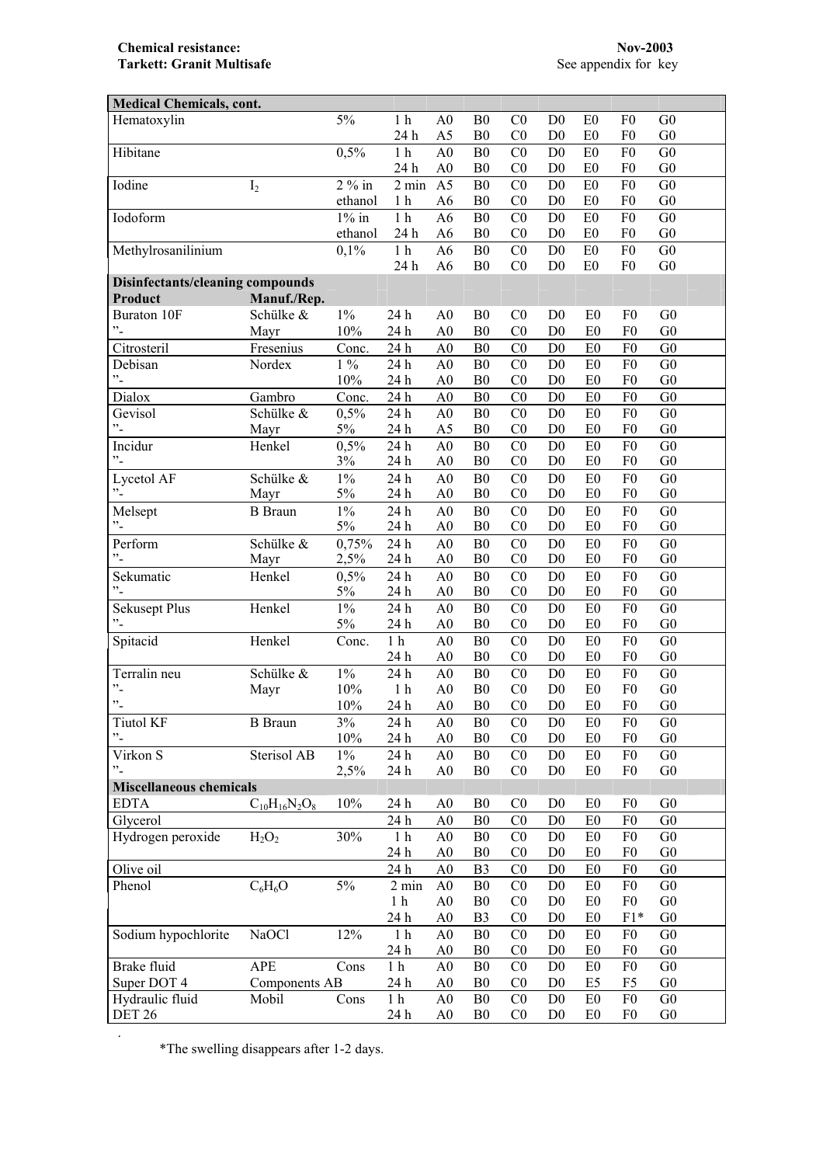**Chemical resistance:** Nov-2003<br> **Tarkett: Granit Multisafe** See appendix for key **Tarkett: Granit Multisafe** 

| <b>Medical Chemicals, cont.</b>  |                      |          |                  |                |                |                |                |                |                |                |
|----------------------------------|----------------------|----------|------------------|----------------|----------------|----------------|----------------|----------------|----------------|----------------|
| Hematoxylin                      |                      | 5%       | 1 <sub>h</sub>   | A <sub>0</sub> | B <sub>0</sub> | C <sub>0</sub> | D <sub>0</sub> | E <sub>0</sub> | F <sub>0</sub> | G <sub>0</sub> |
|                                  |                      |          | 24 h             | A5             | B <sub>0</sub> | CO             | D <sub>0</sub> | E <sub>0</sub> | F <sub>0</sub> | G <sub>0</sub> |
| Hibitane                         |                      | 0,5%     | $1\ \mathrm{h}$  | A <sub>0</sub> | B <sub>0</sub> | C <sub>0</sub> | D <sub>0</sub> | E0             | F <sub>0</sub> | G <sub>0</sub> |
|                                  |                      |          | 24 h             | A <sub>0</sub> | B <sub>0</sub> | C <sub>0</sub> | D <sub>0</sub> | E <sub>0</sub> | F <sub>0</sub> | G <sub>0</sub> |
| Iodine                           | I <sub>2</sub>       | $2\%$ in | $2 \text{ min}$  | A <sub>5</sub> | B <sub>0</sub> | CO             | D <sub>0</sub> | E0             | F <sub>0</sub> | G <sub>0</sub> |
|                                  |                      | ethanol  | 1 <sub>h</sub>   | A <sub>6</sub> | B <sub>0</sub> | C <sub>0</sub> | D <sub>0</sub> | E0             | F <sub>0</sub> | G <sub>0</sub> |
| Iodoform                         |                      | $1\%$ in | 1 <sub>h</sub>   | A <sub>6</sub> | B <sub>0</sub> | CO             | D <sub>0</sub> | E0             | F <sub>0</sub> | G <sub>0</sub> |
|                                  |                      | ethanol  | 24 h             | A <sub>6</sub> | B <sub>0</sub> | C <sub>0</sub> | D <sub>0</sub> | E <sub>0</sub> | F <sub>0</sub> | G <sub>0</sub> |
| Methylrosanilinium               |                      | 0,1%     | $1h$             | A <sub>6</sub> | B <sub>0</sub> | C <sub>0</sub> | D <sub>0</sub> | E <sub>0</sub> | F <sub>0</sub> | G <sub>0</sub> |
|                                  |                      |          | 24 h             | A6             | B <sub>0</sub> | C <sub>0</sub> | D <sub>0</sub> | E <sub>0</sub> | F <sub>0</sub> | G <sub>0</sub> |
| Disinfectants/cleaning compounds |                      |          |                  |                |                |                |                |                |                |                |
| Product                          | Manuf./Rep.          |          |                  |                |                |                |                |                |                |                |
| <b>Buraton 10F</b>               | Schülke &            | $1\%$    | 24 h             | A <sub>0</sub> | B <sub>0</sub> | C <sub>0</sub> | D <sub>0</sub> | E <sub>0</sub> | F <sub>0</sub> | G <sub>0</sub> |
| $\cdot$ .                        | Mayr                 | 10%      | 24 h             | A <sub>0</sub> | B <sub>0</sub> | CO             | D <sub>0</sub> | E <sub>0</sub> | F <sub>0</sub> | G <sub>0</sub> |
| Citrosteril                      | Fresenius            | Conc.    | 24 h             | A <sub>0</sub> | B <sub>0</sub> | C <sub>0</sub> | D <sub>0</sub> | E <sub>0</sub> | F <sub>0</sub> | G <sub>0</sub> |
| Debisan                          | Nordex               | $1\ \%$  | 24 h             | A <sub>0</sub> | B <sub>0</sub> | CO             | D <sub>0</sub> | E <sub>0</sub> | F <sub>0</sub> | G <sub>0</sub> |
| $\cdot$ -                        |                      | 10%      | 24 h             | A <sub>0</sub> | B <sub>0</sub> | C <sub>0</sub> | D <sub>0</sub> | E <sub>0</sub> | F <sub>0</sub> | G <sub>0</sub> |
| Dialox                           | Gambro               | Conc.    | $24\ \mathrm{h}$ | A <sub>0</sub> | B <sub>0</sub> | C <sub>0</sub> | D <sub>0</sub> | E <sub>0</sub> | F <sub>0</sub> | G <sub>0</sub> |
| Gevisol                          | Schülke &            | 0,5%     | 24 h             | A <sub>0</sub> | B <sub>0</sub> | CO             | D <sub>0</sub> | E <sub>0</sub> | F <sub>0</sub> | G <sub>0</sub> |
| $\cdot$                          | Mayr                 | 5%       | 24 h             | A5             | B <sub>0</sub> | C <sub>0</sub> | D <sub>0</sub> | E0             | ${\rm F0}$     | G <sub>0</sub> |
| Incidur                          | Henkel               | 0,5%     | 24 h             | A <sub>0</sub> | B <sub>0</sub> | C <sub>0</sub> | D <sub>0</sub> | E0             | ${\rm F0}$     | G <sub>0</sub> |
| $\cdot$                          |                      | 3%       | 24 h             | A <sub>0</sub> | B <sub>0</sub> | C <sub>0</sub> | D <sub>0</sub> | E <sub>0</sub> | F <sub>0</sub> | G <sub>0</sub> |
| Lycetol AF                       | Schülke &            | $1\%$    | 24 h             | A <sub>0</sub> | B <sub>0</sub> | C <sub>0</sub> | D <sub>0</sub> | E <sub>0</sub> | ${\rm F0}$     | G <sub>0</sub> |
|                                  | Mayr                 | 5%       | 24 h             | ${\bf A0}$     | B <sub>0</sub> | C <sub>0</sub> | D <sub>0</sub> | E <sub>0</sub> | F <sub>0</sub> | G <sub>0</sub> |
| Melsept                          | <b>B</b> Braun       | $1\%$    | 24 h             | A <sub>0</sub> | B <sub>0</sub> | CO             | D <sub>0</sub> | E <sub>0</sub> | F <sub>0</sub> | G <sub>0</sub> |
| $\cdot$ -                        |                      | 5%       | 24 h             | A <sub>0</sub> | B <sub>0</sub> | C <sub>0</sub> | D <sub>0</sub> | E <sub>0</sub> | F <sub>0</sub> | G <sub>0</sub> |
| Perform                          | Schülke &            | 0,75%    | 24 h             | A <sub>0</sub> | B <sub>0</sub> | C <sub>0</sub> | D <sub>0</sub> | E0             | F <sub>0</sub> | G <sub>0</sub> |
| $\cdot$ <sup>2</sup>             | Mayr                 | 2,5%     | 24 h             | A <sub>0</sub> | B <sub>0</sub> | C <sub>0</sub> | D <sub>0</sub> | E0             | F <sub>0</sub> | G <sub>0</sub> |
| Sekumatic                        | Henkel               | 0,5%     | 24 h             | A <sub>0</sub> | B <sub>0</sub> | CO             | D <sub>0</sub> | E <sub>0</sub> | F <sub>0</sub> | G <sub>0</sub> |
| $\cdot$                          |                      | 5%       | 24 h             | A <sub>0</sub> | B <sub>0</sub> | CO             | D <sub>0</sub> | E <sub>0</sub> | F <sub>0</sub> | G <sub>0</sub> |
| <b>Sekusept Plus</b>             | Henkel               | $1\%$    | 24 h             | A <sub>0</sub> | B <sub>0</sub> | C <sub>0</sub> | D <sub>0</sub> | E <sub>0</sub> | F <sub>0</sub> | G <sub>0</sub> |
| $"$ -                            |                      | 5%       | 24 h             | A <sub>0</sub> | B <sub>0</sub> | C <sub>0</sub> | D <sub>0</sub> | E <sub>0</sub> | F <sub>0</sub> | G <sub>0</sub> |
| Spitacid                         | Henkel               | Conc.    | 1 <sub>h</sub>   | A <sub>0</sub> | B <sub>0</sub> | CO             | D <sub>0</sub> | E <sub>0</sub> | F <sub>0</sub> | G <sub>0</sub> |
|                                  |                      |          | 24 h             | ${\bf A0}$     | B <sub>0</sub> | C <sub>0</sub> | D <sub>0</sub> | E <sub>0</sub> | F <sub>0</sub> | G <sub>0</sub> |
| Terralin neu                     | Schülke &            | $1\%$    | 24h              | A <sub>0</sub> | B <sub>0</sub> | CO             | D <sub>0</sub> | E <sub>0</sub> | F <sub>0</sub> | G <sub>0</sub> |
| $\cdot$                          | Mayr                 | 10%      | 1 <sub>h</sub>   | A <sub>0</sub> | B <sub>0</sub> | CO             | D <sub>0</sub> | E <sub>0</sub> | F <sub>0</sub> | G <sub>0</sub> |
| $"$ -                            |                      | 10%      | 24 h             | A <sub>0</sub> | B <sub>0</sub> | CO             | D <sub>0</sub> | E <sub>0</sub> | F <sub>0</sub> | G <sub>0</sub> |
| <b>Tiutol KF</b>                 | <b>B</b> Braun       | 3%       | 24 h             | A <sub>0</sub> | ${\bf B0}$     | C <sub>0</sub> | $\mathbf{D}0$  | ${\rm E0}$     | ${\rm F0}$     | G <sub>0</sub> |
| $^{\prime\prime}$ -              |                      | 10%      | 24 h             | A <sub>0</sub> | B <sub>0</sub> | C <sub>0</sub> | D <sub>0</sub> | E <sub>0</sub> | F <sub>0</sub> | G <sub>0</sub> |
| Virkon S                         | Sterisol AB          | $1\%$    | 24 h             | A <sub>0</sub> | B <sub>0</sub> | C <sub>0</sub> | D <sub>0</sub> | E <sub>0</sub> | F <sub>0</sub> | G <sub>0</sub> |
| "-                               |                      | 2,5%     | 24 h             | A <sub>0</sub> | B <sub>0</sub> | C <sub>0</sub> | D <sub>0</sub> | E <sub>0</sub> | F <sub>0</sub> | G <sub>0</sub> |
| <b>Miscellaneous chemicals</b>   |                      |          |                  |                |                |                |                |                |                |                |
| <b>EDTA</b>                      | $C_{10}H_{16}N_2O_8$ | 10%      | 24 h             | A <sub>0</sub> | B <sub>0</sub> | C <sub>0</sub> | D <sub>0</sub> | E <sub>0</sub> | F <sub>0</sub> | G <sub>0</sub> |
| Glycerol                         |                      |          | 24 h             | A <sub>0</sub> | B <sub>0</sub> | C <sub>0</sub> | D <sub>0</sub> | E <sub>0</sub> | F <sub>0</sub> | G <sub>0</sub> |
| Hydrogen peroxide                | $H_2O_2$             | 30%      | 1 <sub>h</sub>   | A <sub>0</sub> | B <sub>0</sub> | C <sub>0</sub> | D <sub>0</sub> | E0             | F <sub>0</sub> | G <sub>0</sub> |
|                                  |                      |          | 24 h             | A <sub>0</sub> | B <sub>0</sub> | C <sub>0</sub> | D <sub>0</sub> | E0             | F <sub>0</sub> | G <sub>0</sub> |
| Olive oil                        |                      |          | 24 h             | A <sub>0</sub> | B <sub>3</sub> | C <sub>0</sub> | D <sub>0</sub> | E0             | ${\rm F0}$     | G <sub>0</sub> |
| Phenol                           | $C_6H_6O$            | $5\%$    | $2 \text{ min}$  | A <sub>0</sub> | B <sub>0</sub> | C <sub>0</sub> | D <sub>0</sub> | E0             | ${\rm F0}$     | G <sub>0</sub> |
|                                  |                      |          | 1 <sub>h</sub>   | A <sub>0</sub> | B <sub>0</sub> | C <sub>0</sub> | D <sub>0</sub> | E <sub>0</sub> | F <sub>0</sub> | G <sub>0</sub> |
|                                  |                      |          | 24 h             | A <sub>0</sub> | B <sub>3</sub> | C <sub>0</sub> | D <sub>0</sub> | E <sub>0</sub> | $F1*$          | G <sub>0</sub> |
| Sodium hypochlorite              | <b>NaOCl</b>         | 12%      | 1 <sub>h</sub>   | A <sub>0</sub> | B <sub>0</sub> | C <sub>0</sub> | D <sub>0</sub> | E <sub>0</sub> | F <sub>0</sub> | G <sub>0</sub> |
|                                  |                      |          | 24 h             | A <sub>0</sub> | B <sub>0</sub> | C <sub>0</sub> | D <sub>0</sub> | E <sub>0</sub> | F <sub>0</sub> | G <sub>0</sub> |
| Brake fluid                      | <b>APE</b>           | Cons     | 1 <sub>h</sub>   | A <sub>0</sub> | B <sub>0</sub> | CO             | D <sub>0</sub> | E <sub>0</sub> | ${\rm F0}$     | G <sub>0</sub> |
| Super DOT 4                      | <b>Components AB</b> |          | 24 h             | A <sub>0</sub> | B <sub>0</sub> | C <sub>0</sub> | D <sub>0</sub> | E5             | F <sub>5</sub> | G <sub>0</sub> |
| Hydraulic fluid                  | Mobil                | Cons     | 1 <sub>h</sub>   | A <sub>0</sub> | B <sub>0</sub> | C <sub>0</sub> | D <sub>0</sub> | E <sub>0</sub> | F <sub>0</sub> | G <sub>0</sub> |
| <b>DET 26</b>                    |                      |          | 24 h             | A <sub>0</sub> | B <sub>0</sub> | C <sub>0</sub> | D <sub>0</sub> | E0             | F <sub>0</sub> | G <sub>0</sub> |

\*The swelling disappears after 1-2 days.

.